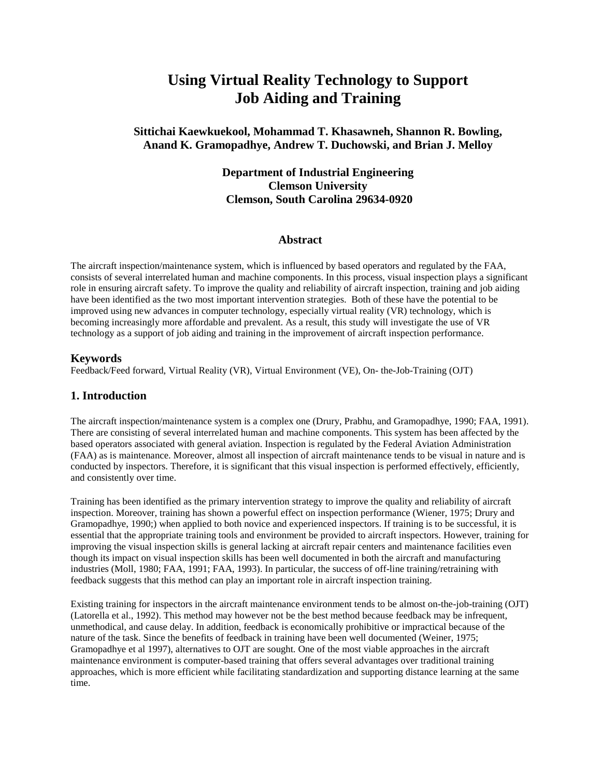# **Using Virtual Reality Technology to Support Job Aiding and Training**

## **Sittichai Kaewkuekool, Mohammad T. Khasawneh, Shannon R. Bowling, Anand K. Gramopadhye, Andrew T. Duchowski, and Brian J. Melloy**

## **Department of Industrial Engineering Clemson University Clemson, South Carolina 29634-0920**

#### **Abstract**

The aircraft inspection/maintenance system, which is influenced by based operators and regulated by the FAA, consists of several interrelated human and machine components. In this process, visual inspection plays a significant role in ensuring aircraft safety. To improve the quality and reliability of aircraft inspection, training and job aiding have been identified as the two most important intervention strategies. Both of these have the potential to be improved using new advances in computer technology, especially virtual reality (VR) technology, which is becoming increasingly more affordable and prevalent. As a result, this study will investigate the use of VR technology as a support of job aiding and training in the improvement of aircraft inspection performance.

#### **Keywords**

Feedback/Feed forward, Virtual Reality (VR), Virtual Environment (VE), On- the-Job-Training (OJT)

#### **1. Introduction**

The aircraft inspection/maintenance system is a complex one (Drury, Prabhu, and Gramopadhye, 1990; FAA, 1991). There are consisting of several interrelated human and machine components. This system has been affected by the based operators associated with general aviation. Inspection is regulated by the Federal Aviation Administration (FAA) as is maintenance. Moreover, almost all inspection of aircraft maintenance tends to be visual in nature and is conducted by inspectors. Therefore, it is significant that this visual inspection is performed effectively, efficiently, and consistently over time.

Training has been identified as the primary intervention strategy to improve the quality and reliability of aircraft inspection. Moreover, training has shown a powerful effect on inspection performance (Wiener, 1975; Drury and Gramopadhye, 1990;) when applied to both novice and experienced inspectors. If training is to be successful, it is essential that the appropriate training tools and environment be provided to aircraft inspectors. However, training for improving the visual inspection skills is general lacking at aircraft repair centers and maintenance facilities even though its impact on visual inspection skills has been well documented in both the aircraft and manufacturing industries (Moll, 1980; FAA, 1991; FAA, 1993). In particular, the success of off-line training/retraining with feedback suggests that this method can play an important role in aircraft inspection training.

Existing training for inspectors in the aircraft maintenance environment tends to be almost on-the-job-training (OJT) (Latorella et al., 1992). This method may however not be the best method because feedback may be infrequent, unmethodical, and cause delay. In addition, feedback is economically prohibitive or impractical because of the nature of the task. Since the benefits of feedback in training have been well documented (Weiner, 1975; Gramopadhye et al 1997), alternatives to OJT are sought. One of the most viable approaches in the aircraft maintenance environment is computer-based training that offers several advantages over traditional training approaches, which is more efficient while facilitating standardization and supporting distance learning at the same time.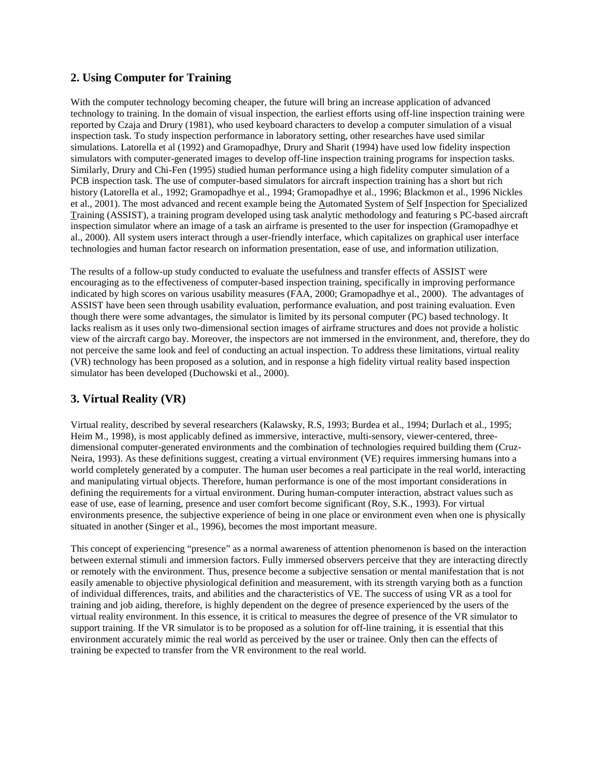## **2. Using Computer for Training**

With the computer technology becoming cheaper, the future will bring an increase application of advanced technology to training. In the domain of visual inspection, the earliest efforts using off-line inspection training were reported by Czaja and Drury (1981), who used keyboard characters to develop a computer simulation of a visual inspection task. To study inspection performance in laboratory setting, other researches have used similar simulations. Latorella et al (1992) and Gramopadhye, Drury and Sharit (1994) have used low fidelity inspection simulators with computer-generated images to develop off-line inspection training programs for inspection tasks. Similarly, Drury and Chi-Fen (1995) studied human performance using a high fidelity computer simulation of a PCB inspection task. The use of computer-based simulators for aircraft inspection training has a short but rich history (Latorella et al., 1992; Gramopadhye et al., 1994; Gramopadhye et al., 1996; Blackmon et al., 1996 Nickles et al., 2001). The most advanced and recent example being the Automated System of Self Inspection for Specialized Training (ASSIST), a training program developed using task analytic methodology and featuring s PC-based aircraft inspection simulator where an image of a task an airframe is presented to the user for inspection (Gramopadhye et al., 2000). All system users interact through a user-friendly interface, which capitalizes on graphical user interface technologies and human factor research on information presentation, ease of use, and information utilization.

The results of a follow-up study conducted to evaluate the usefulness and transfer effects of ASSIST were encouraging as to the effectiveness of computer-based inspection training, specifically in improving performance indicated by high scores on various usability measures (FAA, 2000; Gramopadhye et al., 2000). The advantages of ASSIST have been seen through usability evaluation, performance evaluation, and post training evaluation. Even though there were some advantages, the simulator is limited by its personal computer (PC) based technology. It lacks realism as it uses only two-dimensional section images of airframe structures and does not provide a holistic view of the aircraft cargo bay. Moreover, the inspectors are not immersed in the environment, and, therefore, they do not perceive the same look and feel of conducting an actual inspection. To address these limitations, virtual reality (VR) technology has been proposed as a solution, and in response a high fidelity virtual reality based inspection simulator has been developed (Duchowski et al., 2000).

## **3. Virtual Reality (VR)**

Virtual reality, described by several researchers (Kalawsky, R.S, 1993; Burdea et al., 1994; Durlach et al., 1995; Heim M., 1998), is most applicably defined as immersive, interactive, multi-sensory, viewer-centered, threedimensional computer-generated environments and the combination of technologies required building them (Cruz-Neira, 1993). As these definitions suggest, creating a virtual environment (VE) requires immersing humans into a world completely generated by a computer. The human user becomes a real participate in the real world, interacting and manipulating virtual objects. Therefore, human performance is one of the most important considerations in defining the requirements for a virtual environment. During human-computer interaction, abstract values such as ease of use, ease of learning, presence and user comfort become significant (Roy, S.K., 1993). For virtual environments presence, the subjective experience of being in one place or environment even when one is physically situated in another (Singer et al., 1996), becomes the most important measure.

This concept of experiencing "presence" as a normal awareness of attention phenomenon is based on the interaction between external stimuli and immersion factors. Fully immersed observers perceive that they are interacting directly or remotely with the environment. Thus, presence become a subjective sensation or mental manifestation that is not easily amenable to objective physiological definition and measurement, with its strength varying both as a function of individual differences, traits, and abilities and the characteristics of VE. The success of using VR as a tool for training and job aiding, therefore, is highly dependent on the degree of presence experienced by the users of the virtual reality environment. In this essence, it is critical to measures the degree of presence of the VR simulator to support training. If the VR simulator is to be proposed as a solution for off-line training, it is essential that this environment accurately mimic the real world as perceived by the user or trainee. Only then can the effects of training be expected to transfer from the VR environment to the real world.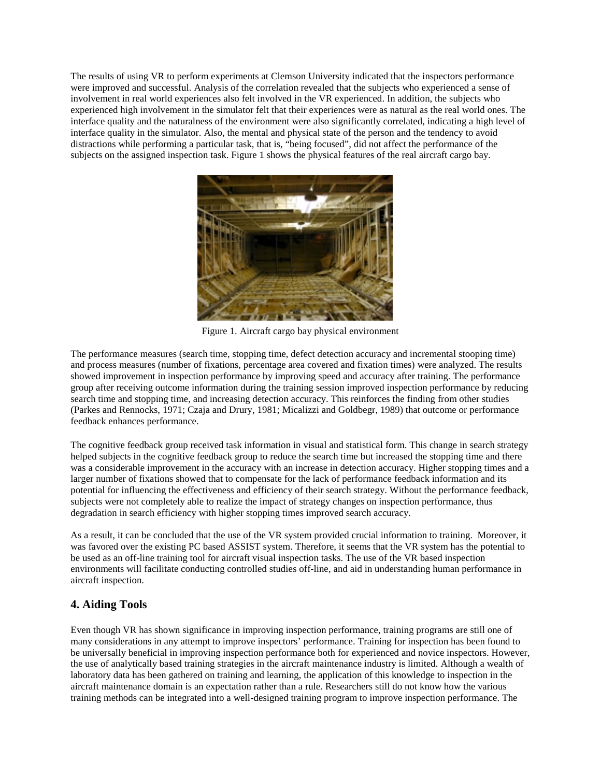The results of using VR to perform experiments at Clemson University indicated that the inspectors performance were improved and successful. Analysis of the correlation revealed that the subjects who experienced a sense of involvement in real world experiences also felt involved in the VR experienced. In addition, the subjects who experienced high involvement in the simulator felt that their experiences were as natural as the real world ones. The interface quality and the naturalness of the environment were also significantly correlated, indicating a high level of interface quality in the simulator. Also, the mental and physical state of the person and the tendency to avoid distractions while performing a particular task, that is, "being focused", did not affect the performance of the subjects on the assigned inspection task. Figure 1 shows the physical features of the real aircraft cargo bay.



Figure 1. Aircraft cargo bay physical environment

The performance measures (search time, stopping time, defect detection accuracy and incremental stooping time) and process measures (number of fixations, percentage area covered and fixation times) were analyzed. The results showed improvement in inspection performance by improving speed and accuracy after training. The performance group after receiving outcome information during the training session improved inspection performance by reducing search time and stopping time, and increasing detection accuracy. This reinforces the finding from other studies (Parkes and Rennocks, 1971; Czaja and Drury, 1981; Micalizzi and Goldbegr, 1989) that outcome or performance feedback enhances performance.

The cognitive feedback group received task information in visual and statistical form. This change in search strategy helped subjects in the cognitive feedback group to reduce the search time but increased the stopping time and there was a considerable improvement in the accuracy with an increase in detection accuracy. Higher stopping times and a larger number of fixations showed that to compensate for the lack of performance feedback information and its potential for influencing the effectiveness and efficiency of their search strategy. Without the performance feedback, subjects were not completely able to realize the impact of strategy changes on inspection performance, thus degradation in search efficiency with higher stopping times improved search accuracy.

As a result, it can be concluded that the use of the VR system provided crucial information to training. Moreover, it was favored over the existing PC based ASSIST system. Therefore, it seems that the VR system has the potential to be used as an off-line training tool for aircraft visual inspection tasks. The use of the VR based inspection environments will facilitate conducting controlled studies off-line, and aid in understanding human performance in aircraft inspection.

## **4. Aiding Tools**

Even though VR has shown significance in improving inspection performance, training programs are still one of many considerations in any attempt to improve inspectors' performance. Training for inspection has been found to be universally beneficial in improving inspection performance both for experienced and novice inspectors. However, the use of analytically based training strategies in the aircraft maintenance industry is limited. Although a wealth of laboratory data has been gathered on training and learning, the application of this knowledge to inspection in the aircraft maintenance domain is an expectation rather than a rule. Researchers still do not know how the various training methods can be integrated into a well-designed training program to improve inspection performance. The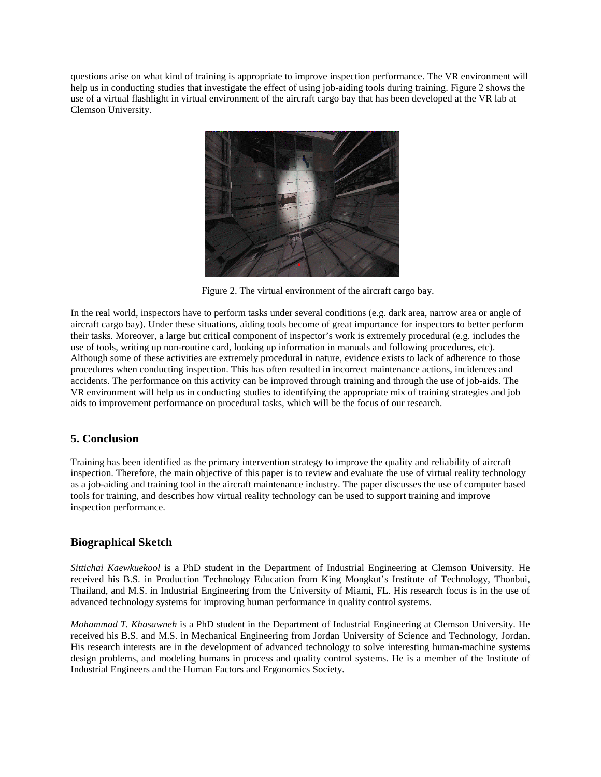questions arise on what kind of training is appropriate to improve inspection performance. The VR environment will help us in conducting studies that investigate the effect of using job-aiding tools during training. Figure 2 shows the use of a virtual flashlight in virtual environment of the aircraft cargo bay that has been developed at the VR lab at Clemson University.



Figure 2. The virtual environment of the aircraft cargo bay.

In the real world, inspectors have to perform tasks under several conditions (e.g. dark area, narrow area or angle of aircraft cargo bay). Under these situations, aiding tools become of great importance for inspectors to better perform their tasks. Moreover, a large but critical component of inspector's work is extremely procedural (e.g. includes the use of tools, writing up non-routine card, looking up information in manuals and following procedures, etc). Although some of these activities are extremely procedural in nature, evidence exists to lack of adherence to those procedures when conducting inspection. This has often resulted in incorrect maintenance actions, incidences and accidents. The performance on this activity can be improved through training and through the use of job-aids. The VR environment will help us in conducting studies to identifying the appropriate mix of training strategies and job aids to improvement performance on procedural tasks, which will be the focus of our research.

## **5. Conclusion**

Training has been identified as the primary intervention strategy to improve the quality and reliability of aircraft inspection. Therefore, the main objective of this paper is to review and evaluate the use of virtual reality technology as a job-aiding and training tool in the aircraft maintenance industry. The paper discusses the use of computer based tools for training, and describes how virtual reality technology can be used to support training and improve inspection performance.

## **Biographical Sketch**

*Sittichai Kaewkuekool* is a PhD student in the Department of Industrial Engineering at Clemson University. He received his B.S. in Production Technology Education from King Mongkut's Institute of Technology, Thonbui, Thailand, and M.S. in Industrial Engineering from the University of Miami, FL. His research focus is in the use of advanced technology systems for improving human performance in quality control systems.

*Mohammad T. Khasawneh* is a PhD student in the Department of Industrial Engineering at Clemson University. He received his B.S. and M.S. in Mechanical Engineering from Jordan University of Science and Technology, Jordan. His research interests are in the development of advanced technology to solve interesting human-machine systems design problems, and modeling humans in process and quality control systems. He is a member of the Institute of Industrial Engineers and the Human Factors and Ergonomics Society.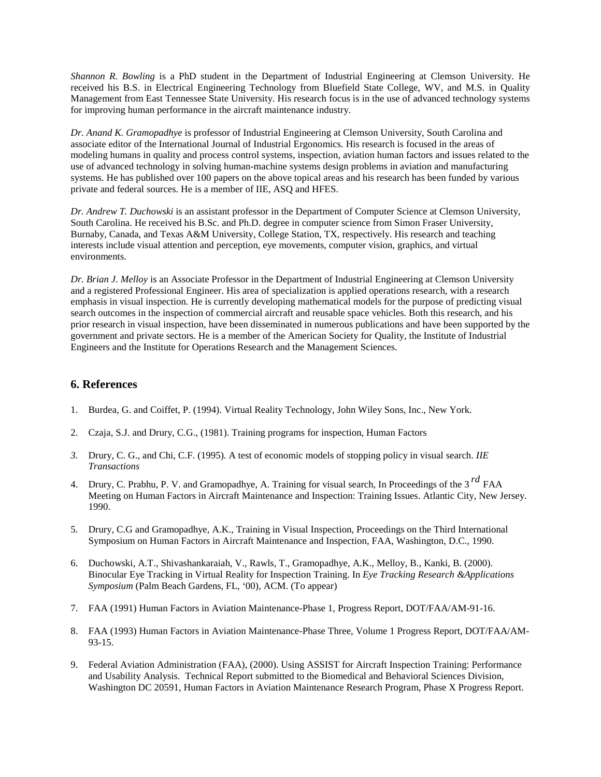*Shannon R. Bowling* is a PhD student in the Department of Industrial Engineering at Clemson University. He received his B.S. in Electrical Engineering Technology from Bluefield State College, WV, and M.S. in Quality Management from East Tennessee State University. His research focus is in the use of advanced technology systems for improving human performance in the aircraft maintenance industry.

*Dr. Anand K. Gramopadhye* is professor of Industrial Engineering at Clemson University, South Carolina and associate editor of the International Journal of Industrial Ergonomics. His research is focused in the areas of modeling humans in quality and process control systems, inspection, aviation human factors and issues related to the use of advanced technology in solving human-machine systems design problems in aviation and manufacturing systems. He has published over 100 papers on the above topical areas and his research has been funded by various private and federal sources. He is a member of IIE, ASQ and HFES.

*Dr. Andrew T. Duchowski* is an assistant professor in the Department of Computer Science at Clemson University, South Carolina. He received his B.Sc. and Ph.D. degree in computer science from Simon Fraser University, Burnaby, Canada, and Texas A&M University, College Station, TX, respectively. His research and teaching interests include visual attention and perception, eye movements, computer vision, graphics, and virtual environments.

*Dr. Brian J. Melloy* is an Associate Professor in the Department of Industrial Engineering at Clemson University and a registered Professional Engineer. His area of specialization is applied operations research, with a research emphasis in visual inspection. He is currently developing mathematical models for the purpose of predicting visual search outcomes in the inspection of commercial aircraft and reusable space vehicles. Both this research, and his prior research in visual inspection, have been disseminated in numerous publications and have been supported by the government and private sectors. He is a member of the American Society for Quality, the Institute of Industrial Engineers and the Institute for Operations Research and the Management Sciences.

#### **6. References**

- 1. Burdea, G. and Coiffet, P. (1994). Virtual Reality Technology, John Wiley Sons, Inc., New York.
- 2. Czaja, S.J. and Drury, C.G., (1981). Training programs for inspection, Human Factors
- *3.* Drury, C. G., and Chi, C.F. (1995). A test of economic models of stopping policy in visual search. *IIE Transactions*
- 4. Drury, C. Prabhu, P. V. and Gramopadhye, A. Training for visual search, In Proceedings of the 3 *rd* FAA Meeting on Human Factors in Aircraft Maintenance and Inspection: Training Issues. Atlantic City, New Jersey. 1990.
- 5. Drury, C.G and Gramopadhye, A.K., Training in Visual Inspection, Proceedings on the Third International Symposium on Human Factors in Aircraft Maintenance and Inspection, FAA, Washington, D.C., 1990.
- 6. Duchowski, A.T., Shivashankaraiah, V., Rawls, T., Gramopadhye, A.K., Melloy, B., Kanki, B. (2000). Binocular Eye Tracking in Virtual Reality for Inspection Training. In *Eye Tracking Research &Applications Symposium* (Palm Beach Gardens, FL, '00), ACM. (To appear)
- 7. FAA (1991) Human Factors in Aviation Maintenance-Phase 1, Progress Report, DOT/FAA/AM-91-16.
- 8. FAA (1993) Human Factors in Aviation Maintenance-Phase Three, Volume 1 Progress Report, DOT/FAA/AM-93-15.
- 9. Federal Aviation Administration (FAA), (2000). Using ASSIST for Aircraft Inspection Training: Performance and Usability Analysis. Technical Report submitted to the Biomedical and Behavioral Sciences Division, Washington DC 20591, Human Factors in Aviation Maintenance Research Program, Phase X Progress Report.